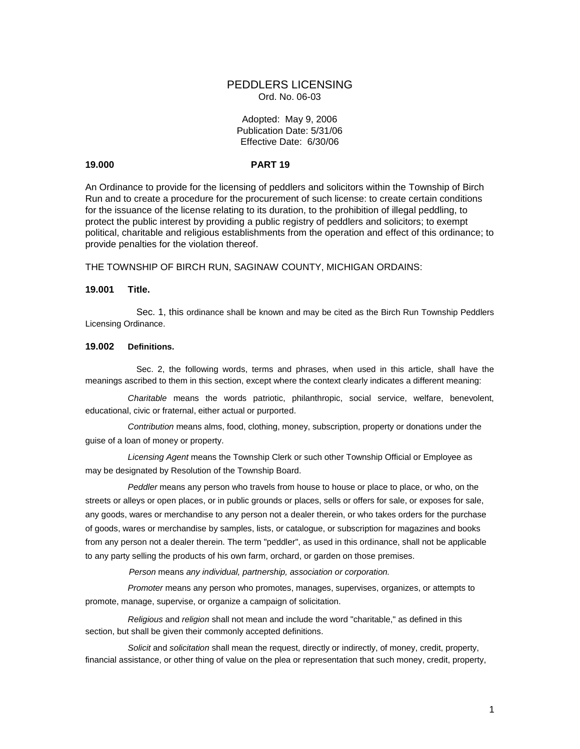# PEDDLERS LICENSING Ord. No. 06-03

## Adopted: May 9, 2006 Publication Date: 5/31/06 Effective Date: 6/30/06

## **19.000 PART 19**

An Ordinance to provide for the licensing of peddlers and solicitors within the Township of Birch Run and to create a procedure for the procurement of such license: to create certain conditions for the issuance of the license relating to its duration, to the prohibition of illegal peddling, to protect the public interest by providing a public registry of peddlers and solicitors; to exempt political, charitable and religious establishments from the operation and effect of this ordinance; to provide penalties for the violation thereof.

THE TOWNSHIP OF BIRCH RUN, SAGINAW COUNTY, MICHIGAN ORDAINS:

## **19.001 Title.**

Sec. 1, this ordinance shall be known and may be cited as the Birch Run Township Peddlers Licensing Ordinance.

## **19.002 Definitions.**

Sec. 2, the following words, terms and phrases, when used in this article, shall have the meanings ascribed to them in this section, except where the context clearly indicates a different meaning:

*Charitable* means the words patriotic, philanthropic, social service, welfare, benevolent, educational, civic or fraternal, either actual or purported.

*Contribution* means alms, food, clothing, money, subscription, property or donations under the guise of a loan of money or property.

*Licensing Agent* means the Township Clerk or such other Township Official or Employee as may be designated by Resolution of the Township Board.

*Peddler* means any person who travels from house to house or place to place, or who, on the streets or alleys or open places, or in public grounds or places, sells or offers for sale, or exposes for sale, any goods, wares or merchandise to any person not a dealer therein, or who takes orders for the purchase of goods, wares or merchandise by samples, lists, or catalogue, or subscription for magazines and books from any person not a dealer therein. The term "peddler", as used in this ordinance, shall not be applicable to any party selling the products of his own farm, orchard, or garden on those premises.

 *Person* means *any individual, partnership, association or corporation.*

*Promoter* means any person who promotes, manages, supervises, organizes, or attempts to promote, manage, supervise, or organize a campaign of solicitation.

*Religious* and *religion* shall not mean and include the word "charitable," as defined in this section, but shall be given their commonly accepted definitions.

*Solicit* and *solicitation* shall mean the request, directly or indirectly, of money, credit, property, financial assistance, or other thing of value on the plea or representation that such money, credit, property,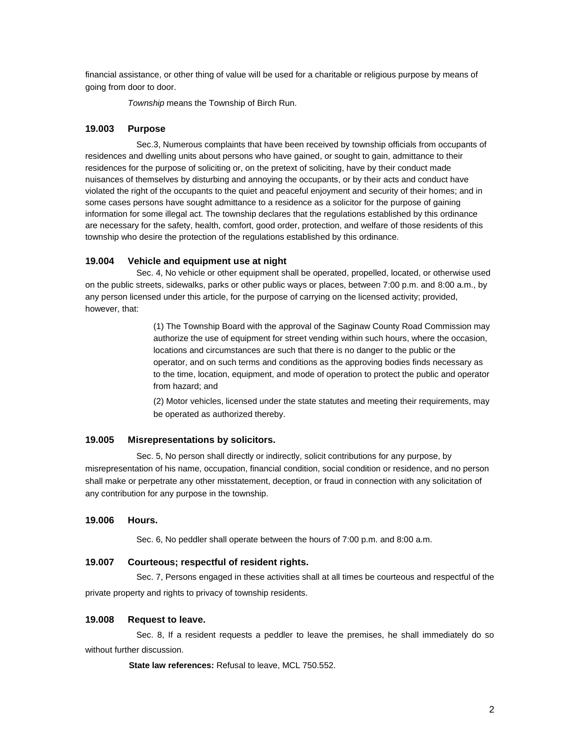financial assistance, or other thing of value will be used for a charitable or religious purpose by means of going from door to door.

*Township* means the Township of Birch Run.

## **19.003 Purpose**

Sec.3, Numerous complaints that have been received by township officials from occupants of residences and dwelling units about persons who have gained, or sought to gain, admittance to their residences for the purpose of soliciting or, on the pretext of soliciting, have by their conduct made nuisances of themselves by disturbing and annoying the occupants, or by their acts and conduct have violated the right of the occupants to the quiet and peaceful enjoyment and security of their homes; and in some cases persons have sought admittance to a residence as a solicitor for the purpose of gaining information for some illegal act. The township declares that the regulations established by this ordinance are necessary for the safety, health, comfort, good order, protection, and welfare of those residents of this township who desire the protection of the regulations established by this ordinance.

## **19.004 Vehicle and equipment use at night**

Sec. 4, No vehicle or other equipment shall be operated, propelled, located, or otherwise used on the public streets, sidewalks, parks or other public ways or places, between 7:00 p.m. and 8:00 a.m., by any person licensed under this article, for the purpose of carrying on the licensed activity; provided, however, that:

> (1) The Township Board with the approval of the Saginaw County Road Commission may authorize the use of equipment for street vending within such hours, where the occasion, locations and circumstances are such that there is no danger to the public or the operator, and on such terms and conditions as the approving bodies finds necessary as to the time, location, equipment, and mode of operation to protect the public and operator from hazard; and

> (2) Motor vehicles, licensed under the state statutes and meeting their requirements, may be operated as authorized thereby.

#### **19.005 Misrepresentations by solicitors.**

Sec. 5, No person shall directly or indirectly, solicit contributions for any purpose, by misrepresentation of his name, occupation, financial condition, social condition or residence, and no person shall make or perpetrate any other misstatement, deception, or fraud in connection with any solicitation of any contribution for any purpose in the township.

# **19.006 Hours.**

Sec. 6, No peddler shall operate between the hours of 7:00 p.m. and 8:00 a.m.

## **19.007 Courteous; respectful of resident rights.**

Sec. 7, Persons engaged in these activities shall at all times be courteous and respectful of the private property and rights to privacy of township residents.

#### **19.008 Request to leave.**

Sec. 8, If a resident requests a peddler to leave the premises, he shall immediately do so without further discussion.

 **State law references:** Refusal to leave, MCL 750.552.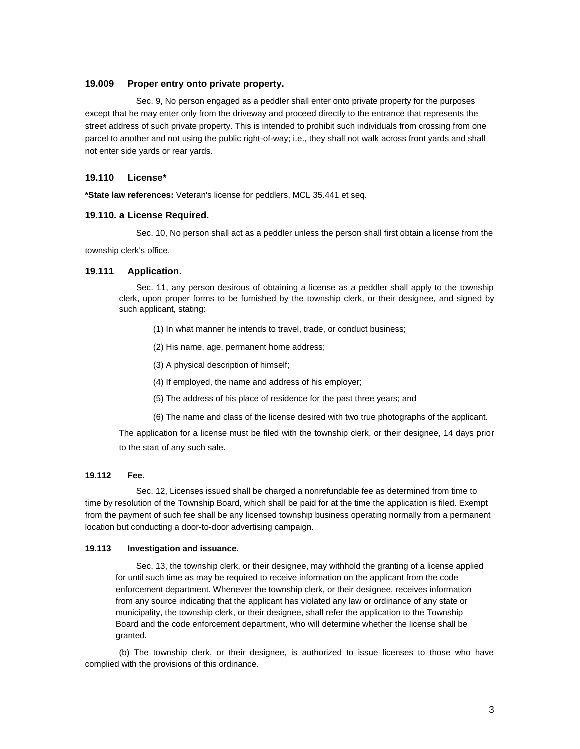## **19.009 Proper entry onto private property.**

Sec. 9, No person engaged as a peddler shall enter onto private property for the purposes except that he may enter only from the driveway and proceed directly to the entrance that represents the street address of such private property. This is intended to prohibit such individuals from crossing from one parcel to another and not using the public right-of-way; i.e., they shall not walk across front yards and shall not enter side yards or rear yards.

## **19.110 License\***

**\*State law references:** Veteran's license for peddlers, MCL 35.441 et seq.

#### **19.110. a License Required.**

Sec. 10, No person shall act as a peddler unless the person shall first obtain a license from the

township clerk's office.

## **19.111 Application.**

Sec. 11, any person desirous of obtaining a license as a peddler shall apply to the township clerk, upon proper forms to be furnished by the township clerk, or their designee, and signed by such applicant, stating:

(1) In what manner he intends to travel, trade, or conduct business;

(2) His name, age, permanent home address;

(3) A physical description of himself;

(4) If employed, the name and address of his employer;

- (5) The address of his place of residence for the past three years; and
- (6) The name and class of the license desired with two true photographs of the applicant.

The application for a license must be filed with the township clerk, or their designee, 14 days prior to the start of any such sale.

## **19.112 Fee.**

Sec. 12, Licenses issued shall be charged a nonrefundable fee as determined from time to time by resolution of the Township Board, which shall be paid for at the time the application is filed. Exempt from the payment of such fee shall be any licensed township business operating normally from a permanent location but conducting a door-to-door advertising campaign.

#### **19.113 Investigation and issuance.**

Sec. 13, the township clerk, or their designee, may withhold the granting of a license applied for until such time as may be required to receive information on the applicant from the code enforcement department. Whenever the township clerk, or their designee, receives information from any source indicating that the applicant has violated any law or ordinance of any state or municipality, the township clerk, or their designee, shall refer the application to the Township Board and the code enforcement department, who will determine whether the license shall be granted.

(b) The township clerk, or their designee, is authorized to issue licenses to those who have complied with the provisions of this ordinance.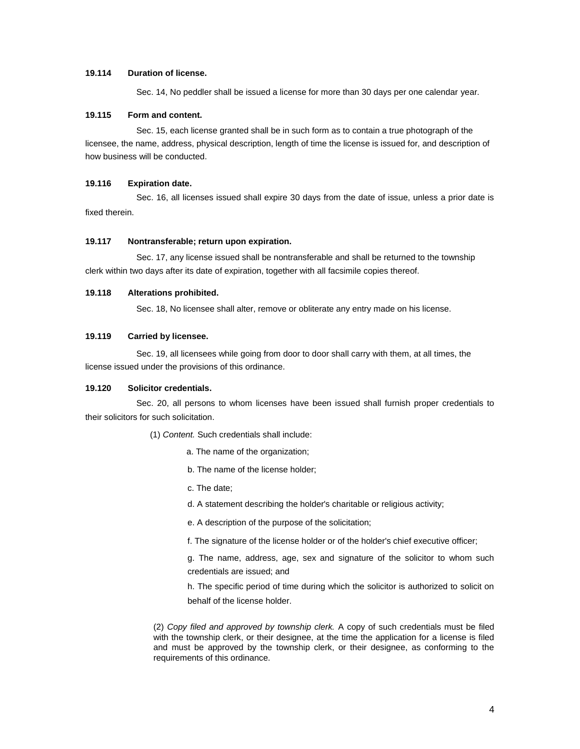## **19.114 Duration of license.**

Sec. 14, No peddler shall be issued a license for more than 30 days per one calendar year.

## **19.115 Form and content.**

Sec. 15, each license granted shall be in such form as to contain a true photograph of the licensee, the name, address, physical description, length of time the license is issued for, and description of how business will be conducted.

### **19.116 Expiration date.**

Sec. 16, all licenses issued shall expire 30 days from the date of issue, unless a prior date is fixed therein.

### **19.117 Nontransferable; return upon expiration.**

Sec. 17, any license issued shall be nontransferable and shall be returned to the township clerk within two days after its date of expiration, together with all facsimile copies thereof.

#### **19.118 Alterations prohibited.**

Sec. 18, No licensee shall alter, remove or obliterate any entry made on his license.

## **19.119 Carried by licensee.**

Sec. 19, all licensees while going from door to door shall carry with them, at all times, the license issued under the provisions of this ordinance.

## **19.120 Solicitor credentials.**

Sec. 20, all persons to whom licenses have been issued shall furnish proper credentials to their solicitors for such solicitation.

(1) *Content.* Such credentials shall include:

- a. The name of the organization;
- b. The name of the license holder;
- c. The date;
- d. A statement describing the holder's charitable or religious activity;

e. A description of the purpose of the solicitation;

f. The signature of the license holder or of the holder's chief executive officer;

g. The name, address, age, sex and signature of the solicitor to whom such credentials are issued; and

h. The specific period of time during which the solicitor is authorized to solicit on behalf of the license holder.

(2) *Copy filed and approved by township clerk.* A copy of such credentials must be filed with the township clerk, or their designee, at the time the application for a license is filed and must be approved by the township clerk, or their designee, as conforming to the requirements of this ordinance.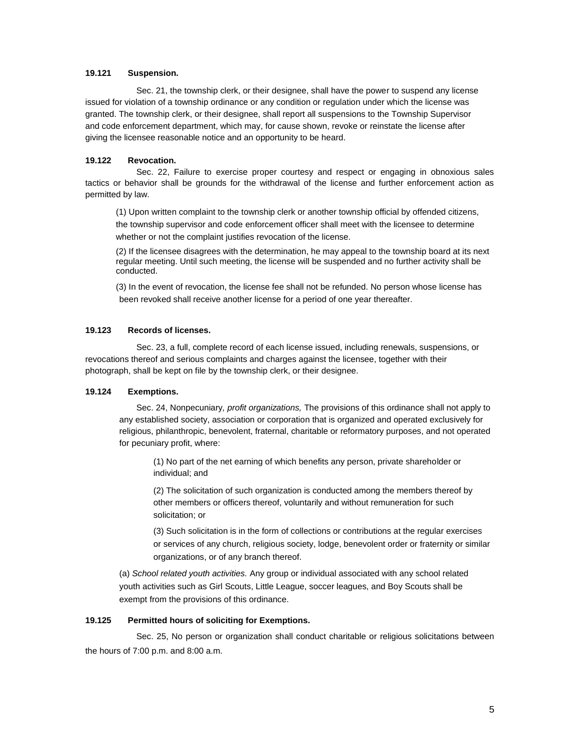## **19.121 Suspension.**

Sec. 21, the township clerk, or their designee, shall have the power to suspend any license issued for violation of a township ordinance or any condition or regulation under which the license was granted. The township clerk, or their designee, shall report all suspensions to the Township Supervisor and code enforcement department, which may, for cause shown, revoke or reinstate the license after giving the licensee reasonable notice and an opportunity to be heard.

#### **19.122 Revocation.**

Sec. 22, Failure to exercise proper courtesy and respect or engaging in obnoxious sales tactics or behavior shall be grounds for the withdrawal of the license and further enforcement action as permitted by law.

(1) Upon written complaint to the township clerk or another township official by offended citizens, the township supervisor and code enforcement officer shall meet with the licensee to determine whether or not the complaint justifies revocation of the license.

(2) If the licensee disagrees with the determination, he may appeal to the township board at its next regular meeting. Until such meeting, the license will be suspended and no further activity shall be conducted.

(3) In the event of revocation, the license fee shall not be refunded. No person whose license has been revoked shall receive another license for a period of one year thereafter.

#### **19.123 Records of licenses.**

Sec. 23, a full, complete record of each license issued, including renewals, suspensions, or revocations thereof and serious complaints and charges against the licensee, together with their photograph, shall be kept on file by the township clerk, or their designee.

## **19.124 Exemptions.**

Sec. 24, Nonpecuniary*, profit organizations,* The provisions of this ordinance shall not apply to any established society, association or corporation that is organized and operated exclusively for religious, philanthropic, benevolent, fraternal, charitable or reformatory purposes, and not operated for pecuniary profit, where:

(1) No part of the net earning of which benefits any person, private shareholder or individual; and

(2) The solicitation of such organization is conducted among the members thereof by other members or officers thereof, voluntarily and without remuneration for such solicitation; or

(3) Such solicitation is in the form of collections or contributions at the regular exercises or services of any church, religious society, lodge, benevolent order or fraternity or similar organizations, or of any branch thereof.

(a) *School related youth activities.* Any group or individual associated with any school related youth activities such as Girl Scouts, Little League, soccer leagues, and Boy Scouts shall be exempt from the provisions of this ordinance.

# **19.125 Permitted hours of soliciting for Exemptions.**

Sec. 25, No person or organization shall conduct charitable or religious solicitations between the hours of 7:00 p.m. and 8:00 a.m.